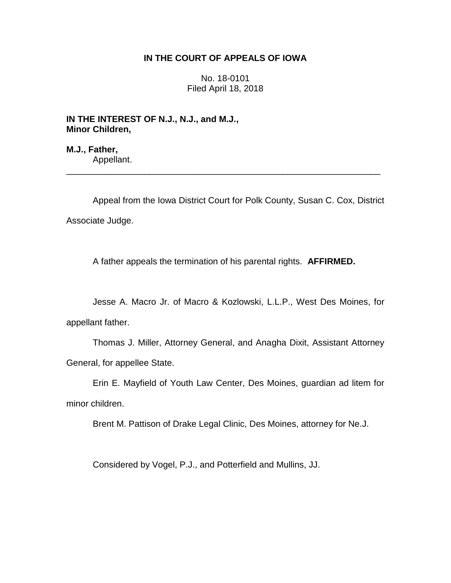# **IN THE COURT OF APPEALS OF IOWA**

No. 18-0101 Filed April 18, 2018

**IN THE INTEREST OF N.J., N.J., and M.J., Minor Children,**

**M.J., Father,** Appellant.

Appeal from the Iowa District Court for Polk County, Susan C. Cox, District Associate Judge.

\_\_\_\_\_\_\_\_\_\_\_\_\_\_\_\_\_\_\_\_\_\_\_\_\_\_\_\_\_\_\_\_\_\_\_\_\_\_\_\_\_\_\_\_\_\_\_\_\_\_\_\_\_\_\_\_\_\_\_\_\_\_\_\_

A father appeals the termination of his parental rights. **AFFIRMED.** 

Jesse A. Macro Jr. of Macro & Kozlowski, L.L.P., West Des Moines, for appellant father.

Thomas J. Miller, Attorney General, and Anagha Dixit, Assistant Attorney General, for appellee State.

Erin E. Mayfield of Youth Law Center, Des Moines, guardian ad litem for minor children.

Brent M. Pattison of Drake Legal Clinic, Des Moines, attorney for Ne.J.

Considered by Vogel, P.J., and Potterfield and Mullins, JJ.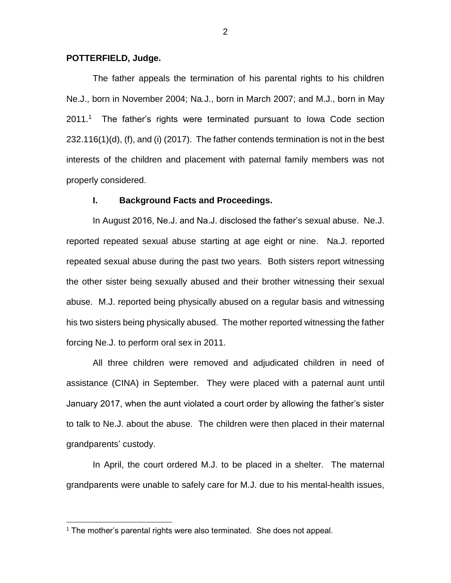### **POTTERFIELD, Judge.**

The father appeals the termination of his parental rights to his children Ne.J., born in November 2004; Na.J., born in March 2007; and M.J., born in May  $2011.^1$  The father's rights were terminated pursuant to Iowa Code section 232.116(1)(d), (f), and (i) (2017). The father contends termination is not in the best interests of the children and placement with paternal family members was not properly considered.

### **I. Background Facts and Proceedings.**

In August 2016, Ne.J. and Na.J. disclosed the father's sexual abuse. Ne.J. reported repeated sexual abuse starting at age eight or nine. Na.J. reported repeated sexual abuse during the past two years. Both sisters report witnessing the other sister being sexually abused and their brother witnessing their sexual abuse. M.J. reported being physically abused on a regular basis and witnessing his two sisters being physically abused. The mother reported witnessing the father forcing Ne.J. to perform oral sex in 2011.

All three children were removed and adjudicated children in need of assistance (CINA) in September. They were placed with a paternal aunt until January 2017, when the aunt violated a court order by allowing the father's sister to talk to Ne.J. about the abuse. The children were then placed in their maternal grandparents' custody.

In April, the court ordered M.J. to be placed in a shelter. The maternal grandparents were unable to safely care for M.J. due to his mental-health issues,

 $\overline{a}$ 

 $1$  The mother's parental rights were also terminated. She does not appeal.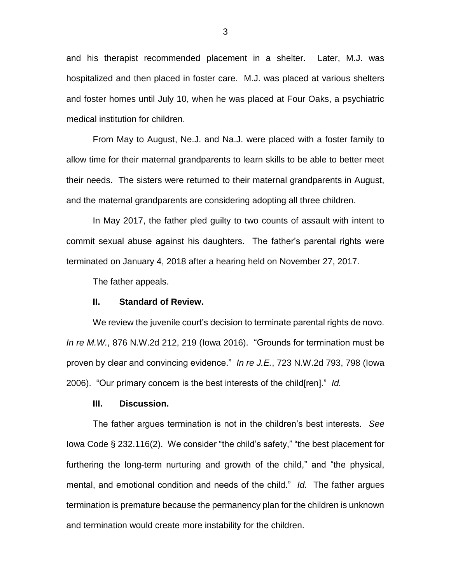and his therapist recommended placement in a shelter. Later, M.J. was hospitalized and then placed in foster care. M.J. was placed at various shelters and foster homes until July 10, when he was placed at Four Oaks, a psychiatric medical institution for children.

From May to August, Ne.J. and Na.J. were placed with a foster family to allow time for their maternal grandparents to learn skills to be able to better meet their needs. The sisters were returned to their maternal grandparents in August, and the maternal grandparents are considering adopting all three children.

In May 2017, the father pled guilty to two counts of assault with intent to commit sexual abuse against his daughters. The father's parental rights were terminated on January 4, 2018 after a hearing held on November 27, 2017.

The father appeals.

## **II. Standard of Review.**

We review the juvenile court's decision to terminate parental rights de novo. *In re M.W.*, 876 N.W.2d 212, 219 (Iowa 2016). "Grounds for termination must be proven by clear and convincing evidence." *In re J.E.*, 723 N.W.2d 793, 798 (Iowa 2006). "Our primary concern is the best interests of the child[ren]." *Id.*

### **III. Discussion.**

The father argues termination is not in the children's best interests. *See* Iowa Code § 232.116(2). We consider "the child's safety," "the best placement for furthering the long-term nurturing and growth of the child," and "the physical, mental, and emotional condition and needs of the child." *Id.* The father argues termination is premature because the permanency plan for the children is unknown and termination would create more instability for the children.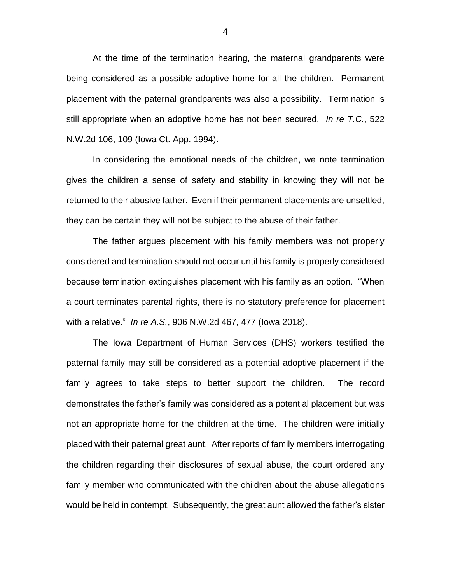At the time of the termination hearing, the maternal grandparents were being considered as a possible adoptive home for all the children. Permanent placement with the paternal grandparents was also a possibility. Termination is still appropriate when an adoptive home has not been secured. *In re T.C.*, 522 N.W.2d 106, 109 (Iowa Ct. App. 1994).

In considering the emotional needs of the children, we note termination gives the children a sense of safety and stability in knowing they will not be returned to their abusive father. Even if their permanent placements are unsettled, they can be certain they will not be subject to the abuse of their father.

The father argues placement with his family members was not properly considered and termination should not occur until his family is properly considered because termination extinguishes placement with his family as an option. "When a court terminates parental rights, there is no statutory preference for placement with a relative." *In re A.S.*, 906 N.W.2d 467, 477 (Iowa 2018).

The Iowa Department of Human Services (DHS) workers testified the paternal family may still be considered as a potential adoptive placement if the family agrees to take steps to better support the children. The record demonstrates the father's family was considered as a potential placement but was not an appropriate home for the children at the time. The children were initially placed with their paternal great aunt. After reports of family members interrogating the children regarding their disclosures of sexual abuse, the court ordered any family member who communicated with the children about the abuse allegations would be held in contempt. Subsequently, the great aunt allowed the father's sister